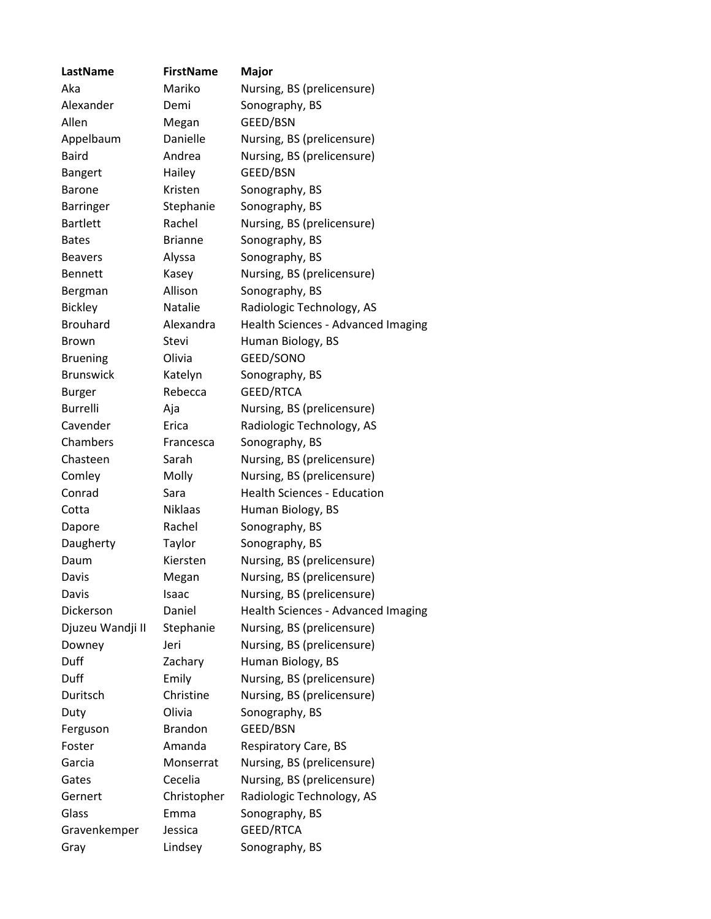| LastName         | <b>FirstName</b> | <b>Major</b>                       |
|------------------|------------------|------------------------------------|
| Aka              | Mariko           | Nursing, BS (prelicensure)         |
| Alexander        | Demi             | Sonography, BS                     |
| Allen            | Megan            | GEED/BSN                           |
| Appelbaum        | Danielle         | Nursing, BS (prelicensure)         |
| <b>Baird</b>     | Andrea           | Nursing, BS (prelicensure)         |
| <b>Bangert</b>   | Hailey           | GEED/BSN                           |
| Barone           | Kristen          | Sonography, BS                     |
| Barringer        | Stephanie        | Sonography, BS                     |
| <b>Bartlett</b>  | Rachel           | Nursing, BS (prelicensure)         |
| <b>Bates</b>     | <b>Brianne</b>   | Sonography, BS                     |
| <b>Beavers</b>   | Alyssa           | Sonography, BS                     |
| <b>Bennett</b>   | Kasey            | Nursing, BS (prelicensure)         |
| Bergman          | Allison          | Sonography, BS                     |
| <b>Bickley</b>   | Natalie          | Radiologic Technology, AS          |
| <b>Brouhard</b>  | Alexandra        | Health Sciences - Advanced Imaging |
| <b>Brown</b>     | Stevi            | Human Biology, BS                  |
| <b>Bruening</b>  | Olivia           | GEED/SONO                          |
| <b>Brunswick</b> | Katelyn          | Sonography, BS                     |
| <b>Burger</b>    | Rebecca          | GEED/RTCA                          |
| <b>Burrelli</b>  | Aja              | Nursing, BS (prelicensure)         |
| Cavender         | Erica            | Radiologic Technology, AS          |
| Chambers         | Francesca        | Sonography, BS                     |
| Chasteen         | Sarah            | Nursing, BS (prelicensure)         |
| Comley           | Molly            | Nursing, BS (prelicensure)         |
| Conrad           | Sara             | <b>Health Sciences - Education</b> |
| Cotta            | <b>Niklaas</b>   | Human Biology, BS                  |
| Dapore           | Rachel           | Sonography, BS                     |
| Daugherty        | Taylor           | Sonography, BS                     |
| Daum             | Kiersten         | Nursing, BS (prelicensure)         |
| Davis            | Megan            | Nursing, BS (prelicensure)         |
| Davis            | Isaac            | Nursing, BS (prelicensure)         |
| Dickerson        | Daniel           | Health Sciences - Advanced Imaging |
| Djuzeu Wandji II | Stephanie        | Nursing, BS (prelicensure)         |
| Downey           | Jeri             | Nursing, BS (prelicensure)         |
| Duff             | Zachary          | Human Biology, BS                  |
| Duff             | Emily            | Nursing, BS (prelicensure)         |
| Duritsch         | Christine        | Nursing, BS (prelicensure)         |
| Duty             | Olivia           | Sonography, BS                     |
| Ferguson         | <b>Brandon</b>   | GEED/BSN                           |
| Foster           | Amanda           | Respiratory Care, BS               |
| Garcia           | Monserrat        | Nursing, BS (prelicensure)         |
| Gates            | Cecelia          | Nursing, BS (prelicensure)         |
| Gernert          | Christopher      | Radiologic Technology, AS          |
| Glass            | Emma             | Sonography, BS                     |
| Gravenkemper     | Jessica          | GEED/RTCA                          |
| Gray             | Lindsey          | Sonography, BS                     |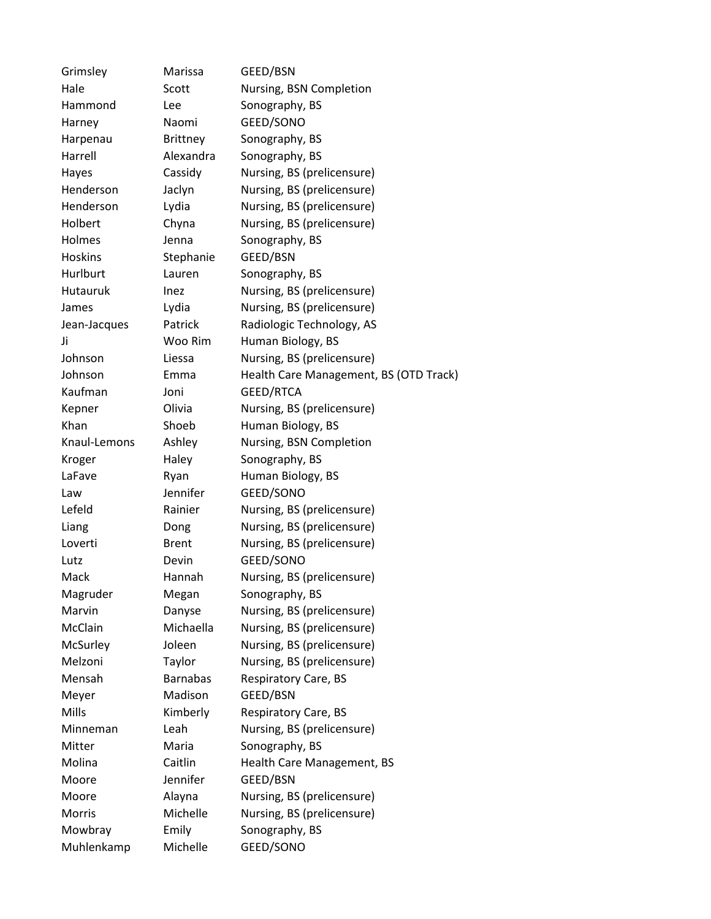Grimsley Marissa GEED/BSN Hale Scott Nursing, BSN Completion Hammond Lee Sonography, BS Harney Naomi GEED/SONO Harpenau Brittney Sonography, BS Harrell Alexandra Sonography, BS Hayes Cassidy Nursing, BS (prelicensure) Henderson Jaclyn Nursing, BS (prelicensure) Henderson Lydia Nursing, BS (prelicensure) Holbert Chyna Nursing, BS (prelicensure) Holmes Jenna Sonography, BS Hoskins Stephanie GEED/BSN Hurlburt Lauren Sonography, BS Hutauruk Inez Nursing, BS (prelicensure) James Lydia Nursing, BS (prelicensure) Jean-Jacques Patrick Radiologic Technology, AS Ji Woo Rim Human Biology, BS Johnson Liessa Nursing, BS (prelicensure) Johnson Emma Health Care Management, BS (OTD Track) Kaufman Joni GEED/RTCA Kepner Olivia Nursing, BS (prelicensure) Khan Shoeb Human Biology, BS Knaul-Lemons Ashley Nursing, BSN Completion Kroger Haley Sonography, BS LaFave Ryan Human Biology, BS Law Jennifer GEED/SONO Lefeld Rainier Nursing, BS (prelicensure) Liang Dong Nursing, BS (prelicensure) Loverti Brent Nursing, BS (prelicensure) Lutz Devin GEED/SONO Mack Hannah Nursing, BS (prelicensure) Magruder Megan Sonography, BS Marvin Danyse Nursing, BS (prelicensure) McClain Michaella Nursing, BS (prelicensure) McSurley Joleen Nursing, BS (prelicensure) Melzoni Taylor Nursing, BS (prelicensure) Mensah Barnabas Respiratory Care, BS Meyer Madison GEED/BSN Mills **Kimberly** Respiratory Care, BS Minneman Leah Nursing, BS (prelicensure) Mitter Maria Sonography, BS Molina Caitlin Health Care Management, BS Moore Jennifer GEED/BSN Moore Alayna Nursing, BS (prelicensure) Morris Michelle Nursing, BS (prelicensure) Mowbray Emily Sonography, BS Muhlenkamp Michelle GEED/SONO